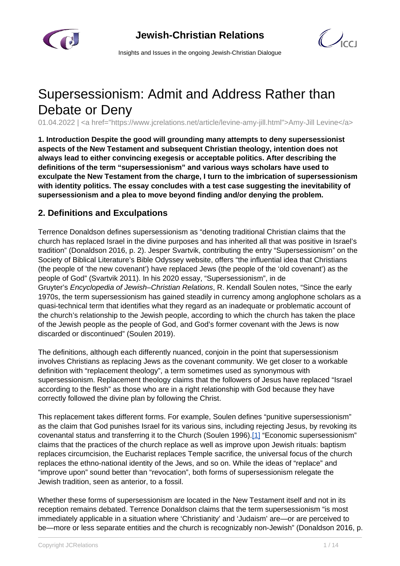



Insights and Issues in the ongoing Jewish-Christian Dialogue

# Supersessionism: Admit and Address Rather than Debate or Deny

01.04.2022 | <a href="https://www.jcrelations.net/article/levine-amy-jill.html">Amy-Jill Levine</a>

**1. Introduction Despite the good will grounding many attempts to deny supersessionist aspects of the New Testament and subsequent Christian theology, intention does not always lead to either convincing exegesis or acceptable politics. After describing the definitions of the term "supersessionism" and various ways scholars have used to exculpate the New Testament from the charge, I turn to the imbrication of supersessionism with identity politics. The essay concludes with a test case suggesting the inevitability of supersessionism and a plea to move beyond finding and/or denying the problem.**

## **2. Definitions and Exculpations**

Terrence Donaldson defines supersessionism as "denoting traditional Christian claims that the church has replaced Israel in the divine purposes and has inherited all that was positive in Israel's tradition" (Donaldson 2016, p. 2). Jesper Svartvik, contributing the entry "Supersessionism" on the Society of Biblical Literature's Bible Odyssey website, offers "the influential idea that Christians (the people of 'the new covenant') have replaced Jews (the people of the 'old covenant') as the people of God" (Svartvik 2011). In his 2020 essay, "Supersessionism", in de Gruyter's Encyclopedia of Jewish–Christian Relations, R. Kendall Soulen notes, "Since the early 1970s, the term supersessionism has gained steadily in currency among anglophone scholars as a quasi-technical term that identifies what they regard as an inadequate or problematic account of the church's relationship to the Jewish people, according to which the church has taken the place of the Jewish people as the people of God, and God's former covenant with the Jews is now discarded or discontinued" (Soulen 2019).

The definitions, although each differently nuanced, conjoin in the point that supersessionism involves Christians as replacing Jews as the covenant community. We get closer to a workable definition with "replacement theology", a term sometimes used as synonymous with supersessionism. Replacement theology claims that the followers of Jesus have replaced "Israel according to the flesh" as those who are in a right relationship with God because they have correctly followed the divine plan by following the Christ.

This replacement takes different forms. For example, Soulen defines "punitive supersessionism" as the claim that God punishes Israel for its various sins, including rejecting Jesus, by revoking its covenantal status and transferring it to the Church (Soulen 1996).[1] "Economic supersessionism" claims that the practices of the church replace as well as improve upon Jewish rituals: baptism replaces circumcision, the Eucharist replaces Temple sacrifice, the universal focus of the church replaces the ethno-national identity of the Jews, and so on. While the ideas of "replace" and "improve upon" sound better than "revocation", both forms of supersessionism relegate the Jewish tradition, seen as anterior, to a fossil.

Whether these forms of supersessionism are located in the New Testament itself and not in its reception remains debated. Terrence Donaldson claims that the term supersessionism "is most immediately applicable in a situation where 'Christianity' and 'Judaism' are—or are perceived to be—more or less separate entities and the church is recognizably non-Jewish" (Donaldson 2016, p.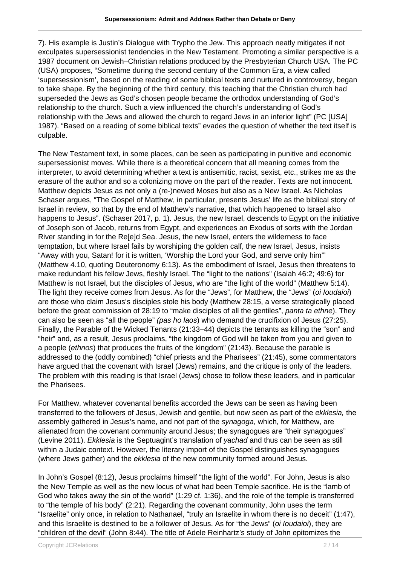7). His example is Justin's Dialogue with Trypho the Jew. This approach neatly mitigates if not exculpates supersessionist tendencies in the New Testament. Promoting a similar perspective is a 1987 document on Jewish–Christian relations produced by the Presbyterian Church USA. The PC (USA) proposes, "Sometime during the second century of the Common Era, a view called 'supersessionism', based on the reading of some biblical texts and nurtured in controversy, began to take shape. By the beginning of the third century, this teaching that the Christian church had superseded the Jews as God's chosen people became the orthodox understanding of God's relationship to the church. Such a view influenced the church's understanding of God's relationship with the Jews and allowed the church to regard Jews in an inferior light" (PC [USA] 1987). "Based on a reading of some biblical texts" evades the question of whether the text itself is culpable.

The New Testament text, in some places, can be seen as participating in punitive and economic supersessionist moves. While there is a theoretical concern that all meaning comes from the interpreter, to avoid determining whether a text is antisemitic, racist, sexist, etc., strikes me as the erasure of the author and so a colonizing move on the part of the reader. Texts are not innocent. Matthew depicts Jesus as not only a (re-)newed Moses but also as a New Israel. As Nicholas Schaser argues, "The Gospel of Matthew, in particular, presents Jesus' life as the biblical story of Israel in review, so that by the end of Matthew's narrative, that which happened to Israel also happens to Jesus". (Schaser 2017, p. 1). Jesus, the new Israel, descends to Egypt on the initiative of Joseph son of Jacob, returns from Egypt, and experiences an Exodus of sorts with the Jordan River standing in for the Re[e]d Sea. Jesus, the new Israel, enters the wilderness to face temptation, but where Israel fails by worshiping the golden calf, the new Israel, Jesus, insists "Away with you, Satan! for it is written, 'Worship the Lord your God, and serve only him'" (Matthew 4.10, quoting Deuteronomy 6:13). As the embodiment of Israel, Jesus then threatens to make redundant his fellow Jews, fleshly Israel. The "light to the nations" (Isaiah 46:2; 49:6) for Matthew is not Israel, but the disciples of Jesus, who are "the light of the world" (Matthew 5:14). The light they receive comes from Jesus. As for the "Jews", for Matthew, the "Jews" (oi Ioudaioi) are those who claim Jesus's disciples stole his body (Matthew 28:15, a verse strategically placed before the great commission of 28:19 to "make disciples of all the gentiles", *panta ta ethne*). They can also be seen as "all the people" (pas ho laos) who demand the crucifixion of Jesus (27:25). Finally, the Parable of the Wicked Tenants (21:33–44) depicts the tenants as killing the "son" and "heir" and, as a result, Jesus proclaims, "the kingdom of God will be taken from you and given to a people (ethnos) that produces the fruits of the kingdom" (21:43). Because the parable is addressed to the (oddly combined) "chief priests and the Pharisees" (21:45), some commentators have argued that the covenant with Israel (Jews) remains, and the critique is only of the leaders. The problem with this reading is that Israel (Jews) chose to follow these leaders, and in particular the Pharisees.

For Matthew, whatever covenantal benefits accorded the Jews can be seen as having been transferred to the followers of Jesus, Jewish and gentile, but now seen as part of the ekklesia, the assembly gathered in Jesus's name, and not part of the synagoga, which, for Matthew, are alienated from the covenant community around Jesus; the synagogues are "their synagogues" (Levine 2011). Ekklesia is the Septuagint's translation of yachad and thus can be seen as still within a Judaic context. However, the literary import of the Gospel distinguishes synagogues (where Jews gather) and the ekklesia of the new community formed around Jesus.

In John's Gospel (8:12), Jesus proclaims himself "the light of the world". For John, Jesus is also the New Temple as well as the new locus of what had been Temple sacrifice. He is the "lamb of God who takes away the sin of the world" (1:29 cf. 1:36), and the role of the temple is transferred to "the temple of his body" (2:21). Regarding the covenant community, John uses the term "Israelite" only once, in relation to Nathanael, "truly an Israelite in whom there is no deceit" (1:47), and this Israelite is destined to be a follower of Jesus. As for "the Jews" (*oi Ioudaioi*), they are "children of the devil" (John 8:44). The title of Adele Reinhartz's study of John epitomizes the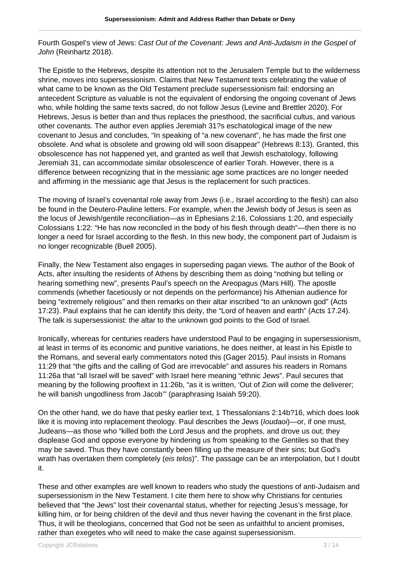Fourth Gospel's view of Jews: Cast Out of the Covenant: Jews and Anti-Judaism in the Gospel of John (Reinhartz 2018).

The Epistle to the Hebrews, despite its attention not to the Jerusalem Temple but to the wilderness shrine, moves into supersessionism. Claims that New Testament texts celebrating the value of what came to be known as the Old Testament preclude supersessionism fail: endorsing an antecedent Scripture as valuable is not the equivalent of endorsing the ongoing covenant of Jews who, while holding the same texts sacred, do not follow Jesus (Levine and Brettler 2020). For Hebrews, Jesus is better than and thus replaces the priesthood, the sacrificial cultus, and various other covenants. The author even applies Jeremiah 31?s eschatological image of the new covenant to Jesus and concludes, "In speaking of "a new covenant", he has made the first one obsolete. And what is obsolete and growing old will soon disappear" (Hebrews 8:13). Granted, this obsolescence has not happened yet, and granted as well that Jewish eschatology, following Jeremiah 31, can accommodate similar obsolescence of earlier Torah. However, there is a difference between recognizing that in the messianic age some practices are no longer needed and affirming in the messianic age that Jesus is the replacement for such practices.

The moving of Israel's covenantal role away from Jews (i.e., Israel according to the flesh) can also be found in the Deutero-Pauline letters. For example, when the Jewish body of Jesus is seen as the locus of Jewish/gentile reconciliation—as in Ephesians 2:16, Colossians 1:20, and especially Colossians 1:22: "He has now reconciled in the body of his flesh through death"—then there is no longer a need for Israel according to the flesh. In this new body, the component part of Judaism is no longer recognizable (Buell 2005).

Finally, the New Testament also engages in superseding pagan views. The author of the Book of Acts, after insulting the residents of Athens by describing them as doing "nothing but telling or hearing something new", presents Paul's speech on the Areopagus (Mars Hill). The apostle commends (whether facetiously or not depends on the performance) his Athenian audience for being "extremely religious" and then remarks on their altar inscribed "to an unknown god" (Acts 17:23). Paul explains that he can identify this deity, the "Lord of heaven and earth" (Acts 17.24). The talk is supersessionist: the altar to the unknown god points to the God of Israel.

Ironically, whereas for centuries readers have understood Paul to be engaging in supersessionism, at least in terms of its economic and punitive variations, he does neither, at least in his Epistle to the Romans, and several early commentators noted this (Gager 2015). Paul insists in Romans 11:29 that "the gifts and the calling of God are irrevocable" and assures his readers in Romans 11:26a that "all Israel will be saved" with Israel here meaning "ethnic Jews". Paul secures that meaning by the following prooftext in 11:26b, "as it is written, 'Out of Zion will come the deliverer; he will banish ungodliness from Jacob'" (paraphrasing Isaiah 59:20).

On the other hand, we do have that pesky earlier text, 1 Thessalonians 2:14b?16, which does look like it is moving into replacement theology. Paul describes the Jews (*loudaoi*)—or, if one must, Judeans—as those who "killed both the Lord Jesus and the prophets, and drove us out; they displease God and oppose everyone by hindering us from speaking to the Gentiles so that they may be saved. Thus they have constantly been filling up the measure of their sins; but God's wrath has overtaken them completely (eis telos)". The passage can be an interpolation, but I doubt it.

These and other examples are well known to readers who study the questions of anti-Judaism and supersessionism in the New Testament. I cite them here to show why Christians for centuries believed that "the Jews" lost their covenantal status, whether for rejecting Jesus's message, for killing him, or for being children of the devil and thus never having the covenant in the first place. Thus, it will be theologians, concerned that God not be seen as unfaithful to ancient promises, rather than exegetes who will need to make the case against supersessionism.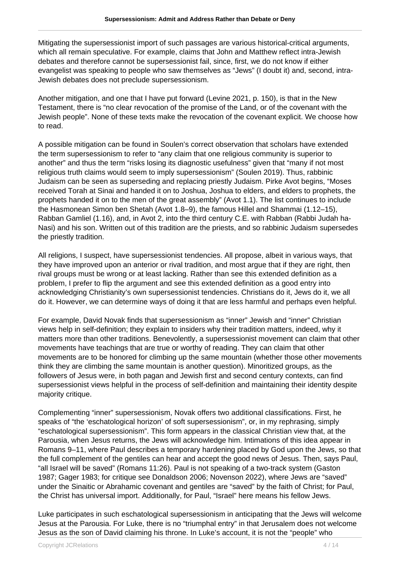Mitigating the supersessionist import of such passages are various historical-critical arguments, which all remain speculative. For example, claims that John and Matthew reflect intra-Jewish debates and therefore cannot be supersessionist fail, since, first, we do not know if either evangelist was speaking to people who saw themselves as "Jews" (I doubt it) and, second, intra-Jewish debates does not preclude supersessionism.

Another mitigation, and one that I have put forward (Levine 2021, p. 150), is that in the New Testament, there is "no clear revocation of the promise of the Land, or of the covenant with the Jewish people". None of these texts make the revocation of the covenant explicit. We choose how to read.

A possible mitigation can be found in Soulen's correct observation that scholars have extended the term supersessionism to refer to "any claim that one religious community is superior to another" and thus the term "risks losing its diagnostic usefulness" given that "many if not most religious truth claims would seem to imply supersessionism" (Soulen 2019). Thus, rabbinic Judaism can be seen as superseding and replacing priestly Judaism. Pirke Avot begins, "Moses received Torah at Sinai and handed it on to Joshua, Joshua to elders, and elders to prophets, the prophets handed it on to the men of the great assembly" (Avot 1.1). The list continues to include the Hasmonean Simon ben Shetah (Avot 1.8–9), the famous Hillel and Shammai (1.12–15), Rabban Gamliel (1.16), and, in Avot 2, into the third century C.E. with Rabban (Rabbi Judah ha-Nasi) and his son. Written out of this tradition are the priests, and so rabbinic Judaism supersedes the priestly tradition.

All religions, I suspect, have supersessionist tendencies. All propose, albeit in various ways, that they have improved upon an anterior or rival tradition, and most argue that if they are right, then rival groups must be wrong or at least lacking. Rather than see this extended definition as a problem, I prefer to flip the argument and see this extended definition as a good entry into acknowledging Christianity's own supersessionist tendencies. Christians do it, Jews do it, we all do it. However, we can determine ways of doing it that are less harmful and perhaps even helpful.

For example, David Novak finds that supersessionism as "inner" Jewish and "inner" Christian views help in self-definition; they explain to insiders why their tradition matters, indeed, why it matters more than other traditions. Benevolently, a supersessionist movement can claim that other movements have teachings that are true or worthy of reading. They can claim that other movements are to be honored for climbing up the same mountain (whether those other movements think they are climbing the same mountain is another question). Minoritized groups, as the followers of Jesus were, in both pagan and Jewish first and second century contexts, can find supersessionist views helpful in the process of self-definition and maintaining their identity despite majority critique.

Complementing "inner" supersessionism, Novak offers two additional classifications. First, he speaks of "the 'eschatological horizon' of soft supersessionism", or, in my rephrasing, simply "eschatological supersessionism". This form appears in the classical Christian view that, at the Parousia, when Jesus returns, the Jews will acknowledge him. Intimations of this idea appear in Romans 9–11, where Paul describes a temporary hardening placed by God upon the Jews, so that the full complement of the gentiles can hear and accept the good news of Jesus. Then, says Paul, "all Israel will be saved" (Romans 11:26). Paul is not speaking of a two-track system (Gaston 1987; Gager 1983; for critique see Donaldson 2006; Novenson 2022), where Jews are "saved" under the Sinaitic or Abrahamic covenant and gentiles are "saved" by the faith of Christ; for Paul, the Christ has universal import. Additionally, for Paul, "Israel" here means his fellow Jews.

Luke participates in such eschatological supersessionism in anticipating that the Jews will welcome Jesus at the Parousia. For Luke, there is no "triumphal entry" in that Jerusalem does not welcome Jesus as the son of David claiming his throne. In Luke's account, it is not the "people" who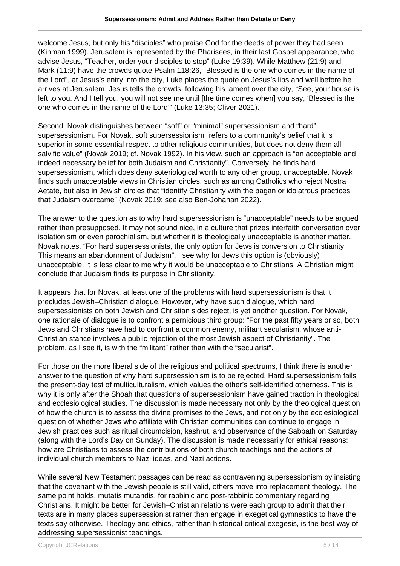welcome Jesus, but only his "disciples" who praise God for the deeds of power they had seen (Kinman 1999). Jerusalem is represented by the Pharisees, in their last Gospel appearance, who advise Jesus, "Teacher, order your disciples to stop" (Luke 19:39). While Matthew (21:9) and Mark (11:9) have the crowds quote Psalm 118:26, "Blessed is the one who comes in the name of the Lord", at Jesus's entry into the city, Luke places the quote on Jesus's lips and well before he arrives at Jerusalem. Jesus tells the crowds, following his lament over the city, "See, your house is left to you. And I tell you, you will not see me until [the time comes when] you say, 'Blessed is the one who comes in the name of the Lord'" (Luke 13:35; Oliver 2021).

Second, Novak distinguishes between "soft" or "minimal" supersessionism and "hard" supersessionism. For Novak, soft supersessionism "refers to a community's belief that it is superior in some essential respect to other religious communities, but does not deny them all salvific value" (Novak 2019; cf. Novak 1992). In his view, such an approach is "an acceptable and indeed necessary belief for both Judaism and Christianity". Conversely, he finds hard supersessionism, which does deny soteriological worth to any other group, unacceptable. Novak finds such unacceptable views in Christian circles, such as among Catholics who reject Nostra Aetate, but also in Jewish circles that "identify Christianity with the pagan or idolatrous practices that Judaism overcame" (Novak 2019; see also Ben-Johanan 2022).

The answer to the question as to why hard supersessionism is "unacceptable" needs to be argued rather than presupposed. It may not sound nice, in a culture that prizes interfaith conversation over isolationism or even parochialism, but whether it is theologically unacceptable is another matter. Novak notes, "For hard supersessionists, the only option for Jews is conversion to Christianity. This means an abandonment of Judaism". I see why for Jews this option is (obviously) unacceptable. It is less clear to me why it would be unacceptable to Christians. A Christian might conclude that Judaism finds its purpose in Christianity.

It appears that for Novak, at least one of the problems with hard supersessionism is that it precludes Jewish–Christian dialogue. However, why have such dialogue, which hard supersessionists on both Jewish and Christian sides reject, is yet another question. For Novak, one rationale of dialogue is to confront a pernicious third group: "For the past fifty years or so, both Jews and Christians have had to confront a common enemy, militant secularism, whose anti-Christian stance involves a public rejection of the most Jewish aspect of Christianity". The problem, as I see it, is with the "militant" rather than with the "secularist".

For those on the more liberal side of the religious and political spectrums, I think there is another answer to the question of why hard supersessionism is to be rejected. Hard supersessionism fails the present-day test of multiculturalism, which values the other's self-identified otherness. This is why it is only after the Shoah that questions of supersessionism have gained traction in theological and ecclesiological studies. The discussion is made necessary not only by the theological question of how the church is to assess the divine promises to the Jews, and not only by the ecclesiological question of whether Jews who affiliate with Christian communities can continue to engage in Jewish practices such as ritual circumcision, kashrut, and observance of the Sabbath on Saturday (along with the Lord's Day on Sunday). The discussion is made necessarily for ethical reasons: how are Christians to assess the contributions of both church teachings and the actions of individual church members to Nazi ideas, and Nazi actions.

While several New Testament passages can be read as contravening supersessionism by insisting that the covenant with the Jewish people is still valid, others move into replacement theology. The same point holds, mutatis mutandis, for rabbinic and post-rabbinic commentary regarding Christians. It might be better for Jewish–Christian relations were each group to admit that their texts are in many places supersessionist rather than engage in exegetical gymnastics to have the texts say otherwise. Theology and ethics, rather than historical-critical exegesis, is the best way of addressing supersessionist teachings.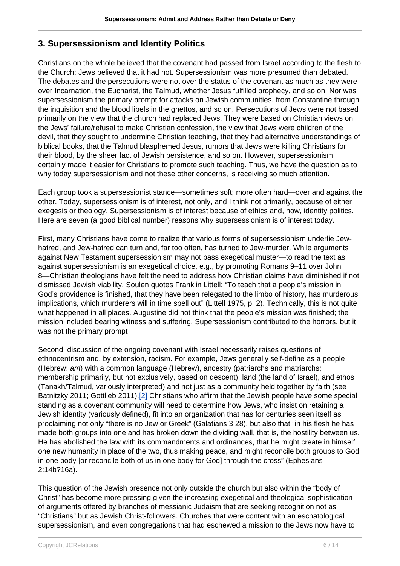## **3. Supersessionism and Identity Politics**

Christians on the whole believed that the covenant had passed from Israel according to the flesh to the Church; Jews believed that it had not. Supersessionism was more presumed than debated. The debates and the persecutions were not over the status of the covenant as much as they were over Incarnation, the Eucharist, the Talmud, whether Jesus fulfilled prophecy, and so on. Nor was supersessionism the primary prompt for attacks on Jewish communities, from Constantine through the inquisition and the blood libels in the ghettos, and so on. Persecutions of Jews were not based primarily on the view that the church had replaced Jews. They were based on Christian views on the Jews' failure/refusal to make Christian confession, the view that Jews were children of the devil, that they sought to undermine Christian teaching, that they had alternative understandings of biblical books, that the Talmud blasphemed Jesus, rumors that Jews were killing Christians for their blood, by the sheer fact of Jewish persistence, and so on. However, supersessionism certainly made it easier for Christians to promote such teaching. Thus, we have the question as to why today supersessionism and not these other concerns, is receiving so much attention.

Each group took a supersessionist stance—sometimes soft; more often hard—over and against the other. Today, supersessionism is of interest, not only, and I think not primarily, because of either exegesis or theology. Supersessionism is of interest because of ethics and, now, identity politics. Here are seven (a good biblical number) reasons why supersessionism is of interest today.

First, many Christians have come to realize that various forms of supersessionism underlie Jewhatred, and Jew-hatred can turn and, far too often, has turned to Jew-murder. While arguments against New Testament supersessionism may not pass exegetical muster—to read the text as against supersessionism is an exegetical choice, e.g., by promoting Romans 9–11 over John 8—Christian theologians have felt the need to address how Christian claims have diminished if not dismissed Jewish viability. Soulen quotes Franklin Littell: "To teach that a people's mission in God's providence is finished, that they have been relegated to the limbo of history, has murderous implications, which murderers will in time spell out" (Littell 1975, p. 2). Technically, this is not quite what happened in all places. Augustine did not think that the people's mission was finished; the mission included bearing witness and suffering. Supersessionism contributed to the horrors, but it was not the primary prompt

Second, discussion of the ongoing covenant with Israel necessarily raises questions of ethnocentrism and, by extension, racism. For example, Jews generally self-define as a people (Hebrew: am) with a common language (Hebrew), ancestry (patriarchs and matriarchs; membership primarily, but not exclusively, based on descent), land (the land of Israel), and ethos (Tanakh/Talmud, variously interpreted) and not just as a community held together by faith (see Batnitzky 2011; Gottlieb 2011).[2] Christians who affirm that the Jewish people have some special standing as a covenant community will need to determine how Jews, who insist on retaining a Jewish identity (variously defined), fit into an organization that has for centuries seen itself as proclaiming not only "there is no Jew or Greek" (Galatians 3:28), but also that "in his flesh he has made both groups into one and has broken down the dividing wall, that is, the hostility between us. He has abolished the law with its commandments and ordinances, that he might create in himself one new humanity in place of the two, thus making peace, and might reconcile both groups to God in one body [or reconcile both of us in one body for God] through the cross" (Ephesians 2:14b?16a).

This question of the Jewish presence not only outside the church but also within the "body of Christ" has become more pressing given the increasing exegetical and theological sophistication of arguments offered by branches of messianic Judaism that are seeking recognition not as "Christians" but as Jewish Christ-followers. Churches that were content with an eschatological supersessionism, and even congregations that had eschewed a mission to the Jews now have to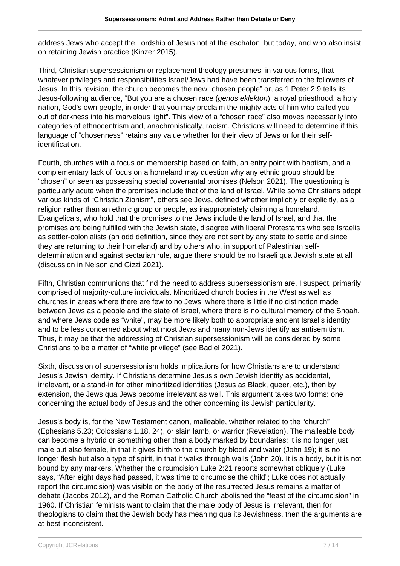address Jews who accept the Lordship of Jesus not at the eschaton, but today, and who also insist on retaining Jewish practice (Kinzer 2015).

Third, Christian supersessionism or replacement theology presumes, in various forms, that whatever privileges and responsibilities Israel/Jews had have been transferred to the followers of Jesus. In this revision, the church becomes the new "chosen people" or, as 1 Peter 2:9 tells its Jesus-following audience, "But you are a chosen race (*genos eklekton*), a royal priesthood, a holy nation, God's own people, in order that you may proclaim the mighty acts of him who called you out of darkness into his marvelous light". This view of a "chosen race" also moves necessarily into categories of ethnocentrism and, anachronistically, racism. Christians will need to determine if this language of "chosenness" retains any value whether for their view of Jews or for their selfidentification.

Fourth, churches with a focus on membership based on faith, an entry point with baptism, and a complementary lack of focus on a homeland may question why any ethnic group should be "chosen" or seen as possessing special covenantal promises (Nelson 2021). The questioning is particularly acute when the promises include that of the land of Israel. While some Christians adopt various kinds of "Christian Zionism", others see Jews, defined whether implicitly or explicitly, as a religion rather than an ethnic group or people, as inappropriately claiming a homeland. Evangelicals, who hold that the promises to the Jews include the land of Israel, and that the promises are being fulfilled with the Jewish state, disagree with liberal Protestants who see Israelis as settler-colonialists (an odd definition, since they are not sent by any state to settle and since they are returning to their homeland) and by others who, in support of Palestinian selfdetermination and against sectarian rule, argue there should be no Israeli qua Jewish state at all (discussion in Nelson and Gizzi 2021).

Fifth, Christian communions that find the need to address supersessionism are, I suspect, primarily comprised of majority-culture individuals. Minoritized church bodies in the West as well as churches in areas where there are few to no Jews, where there is little if no distinction made between Jews as a people and the state of Israel, where there is no cultural memory of the Shoah, and where Jews code as "white", may be more likely both to appropriate ancient Israel's identity and to be less concerned about what most Jews and many non-Jews identify as antisemitism. Thus, it may be that the addressing of Christian supersessionism will be considered by some Christians to be a matter of "white privilege" (see Badiel 2021).

Sixth, discussion of supersessionism holds implications for how Christians are to understand Jesus's Jewish identity. If Christians determine Jesus's own Jewish identity as accidental, irrelevant, or a stand-in for other minoritized identities (Jesus as Black, queer, etc.), then by extension, the Jews qua Jews become irrelevant as well. This argument takes two forms: one concerning the actual body of Jesus and the other concerning its Jewish particularity.

Jesus's body is, for the New Testament canon, malleable, whether related to the "church" (Ephesians 5.23; Colossians 1.18, 24), or slain lamb, or warrior (Revelation). The malleable body can become a hybrid or something other than a body marked by boundaries: it is no longer just male but also female, in that it gives birth to the church by blood and water (John 19); it is no longer flesh but also a type of spirit, in that it walks through walls (John 20). It is a body, but it is not bound by any markers. Whether the circumcision Luke 2:21 reports somewhat obliquely (Luke says, "After eight days had passed, it was time to circumcise the child"; Luke does not actually report the circumcision) was visible on the body of the resurrected Jesus remains a matter of debate (Jacobs 2012), and the Roman Catholic Church abolished the "feast of the circumcision" in 1960. If Christian feminists want to claim that the male body of Jesus is irrelevant, then for theologians to claim that the Jewish body has meaning qua its Jewishness, then the arguments are at best inconsistent.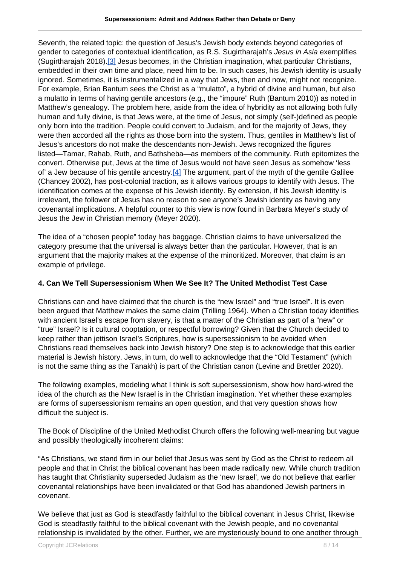Seventh, the related topic: the question of Jesus's Jewish body extends beyond categories of gender to categories of contextual identification, as R.S. Sugirtharajah's Jesus in Asia exemplifies (Sugirtharajah 2018).[3] Jesus becomes, in the Christian imagination, what particular Christians, embedded in their own time and place, need him to be. In such cases, his Jewish identity is usually ignored. Sometimes, it is instrumentalized in a way that Jews, then and now, might not recognize. For example, Brian Bantum sees the Christ as a "mulatto", a hybrid of divine and human, but also a mulatto in terms of having gentile ancestors (e.g., the "impure" Ruth (Bantum 2010)) as noted in Matthew's genealogy. The problem here, aside from the idea of hybridity as not allowing both fully human and fully divine, is that Jews were, at the time of Jesus, not simply (self-)defined as people only born into the tradition. People could convert to Judaism, and for the majority of Jews, they were then accorded all the rights as those born into the system. Thus, gentiles in Matthew's list of Jesus's ancestors do not make the descendants non-Jewish. Jews recognized the figures listed—Tamar, Rahab, Ruth, and Bathsheba—as members of the community. Ruth epitomizes the convert. Otherwise put, Jews at the time of Jesus would not have seen Jesus as somehow 'less of' a Jew because of his gentile ancestry. $[4]$  The argument, part of the myth of the gentile Galilee (Chancey 2002), has post-colonial traction, as it allows various groups to identify with Jesus. The identification comes at the expense of his Jewish identity. By extension, if his Jewish identity is irrelevant, the follower of Jesus has no reason to see anyone's Jewish identity as having any covenantal implications. A helpful counter to this view is now found in Barbara Meyer's study of Jesus the Jew in Christian memory (Meyer 2020).

The idea of a "chosen people" today has baggage. Christian claims to have universalized the category presume that the universal is always better than the particular. However, that is an argument that the majority makes at the expense of the minoritized. Moreover, that claim is an example of privilege.

#### **4. Can We Tell Supersessionism When We See It? The United Methodist Test Case**

Christians can and have claimed that the church is the "new Israel" and "true Israel". It is even been argued that Matthew makes the same claim (Trilling 1964). When a Christian today identifies with ancient Israel's escape from slavery, is that a matter of the Christian as part of a "new" or "true" Israel? Is it cultural cooptation, or respectful borrowing? Given that the Church decided to keep rather than jettison Israel's Scriptures, how is supersessionism to be avoided when Christians read themselves back into Jewish history? One step is to acknowledge that this earlier material is Jewish history. Jews, in turn, do well to acknowledge that the "Old Testament" (which is not the same thing as the Tanakh) is part of the Christian canon (Levine and Brettler 2020).

The following examples, modeling what I think is soft supersessionism, show how hard-wired the idea of the church as the New Israel is in the Christian imagination. Yet whether these examples are forms of supersessionism remains an open question, and that very question shows how difficult the subject is.

The Book of Discipline of the United Methodist Church offers the following well-meaning but vague and possibly theologically incoherent claims:

"As Christians, we stand firm in our belief that Jesus was sent by God as the Christ to redeem all people and that in Christ the biblical covenant has been made radically new. While church tradition has taught that Christianity superseded Judaism as the 'new Israel', we do not believe that earlier covenantal relationships have been invalidated or that God has abandoned Jewish partners in covenant.

We believe that just as God is steadfastly faithful to the biblical covenant in Jesus Christ, likewise God is steadfastly faithful to the biblical covenant with the Jewish people, and no covenantal relationship is invalidated by the other. Further, we are mysteriously bound to one another through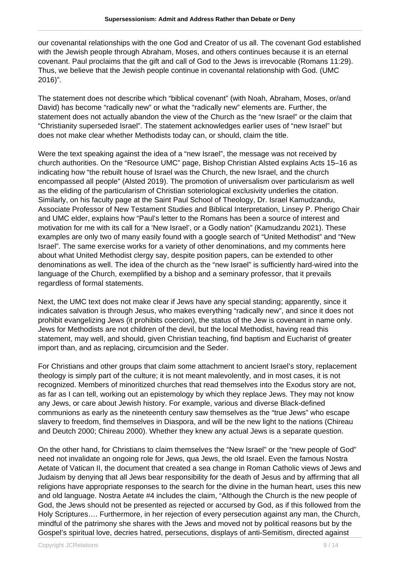our covenantal relationships with the one God and Creator of us all. The covenant God established with the Jewish people through Abraham, Moses, and others continues because it is an eternal covenant. Paul proclaims that the gift and call of God to the Jews is irrevocable (Romans 11:29). Thus, we believe that the Jewish people continue in covenantal relationship with God. (UMC 2016)".

The statement does not describe which "biblical covenant" (with Noah, Abraham, Moses, or/and David) has become "radically new" or what the "radically new" elements are. Further, the statement does not actually abandon the view of the Church as the "new Israel" or the claim that "Christianity superseded Israel". The statement acknowledges earlier uses of "new Israel" but does not make clear whether Methodists today can, or should, claim the title.

Were the text speaking against the idea of a "new Israel", the message was not received by church authorities. On the "Resource UMC" page, Bishop Christian Alsted explains Acts 15–16 as indicating how "the rebuilt house of Israel was the Church, the new Israel, and the church encompassed all people" (Alsted 2019). The promotion of universalism over particularism as well as the eliding of the particularism of Christian soteriological exclusivity underlies the citation. Similarly, on his faculty page at the Saint Paul School of Theology, Dr. Israel Kamudzandu, Associate Professor of New Testament Studies and Biblical Interpretation, Linsey P. Pherigo Chair and UMC elder, explains how "Paul's letter to the Romans has been a source of interest and motivation for me with its call for a 'New Israel', or a Godly nation" (Kamudzandu 2021). These examples are only two of many easily found with a google search of "United Methodist" and "New Israel". The same exercise works for a variety of other denominations, and my comments here about what United Methodist clergy say, despite position papers, can be extended to other denominations as well. The idea of the church as the "new Israel" is sufficiently hard-wired into the language of the Church, exemplified by a bishop and a seminary professor, that it prevails regardless of formal statements.

Next, the UMC text does not make clear if Jews have any special standing; apparently, since it indicates salvation is through Jesus, who makes everything "radically new", and since it does not prohibit evangelizing Jews (it prohibits coercion), the status of the Jew is covenant in name only. Jews for Methodists are not children of the devil, but the local Methodist, having read this statement, may well, and should, given Christian teaching, find baptism and Eucharist of greater import than, and as replacing, circumcision and the Seder.

For Christians and other groups that claim some attachment to ancient Israel's story, replacement theology is simply part of the culture; it is not meant malevolently, and in most cases, it is not recognized. Members of minoritized churches that read themselves into the Exodus story are not, as far as I can tell, working out an epistemology by which they replace Jews. They may not know any Jews, or care about Jewish history. For example, various and diverse Black-defined communions as early as the nineteenth century saw themselves as the "true Jews" who escape slavery to freedom, find themselves in Diaspora, and will be the new light to the nations (Chireau and Deutch 2000; Chireau 2000). Whether they knew any actual Jews is a separate question.

On the other hand, for Christians to claim themselves the "New Israel" or the "new people of God" need not invalidate an ongoing role for Jews, qua Jews, the old Israel. Even the famous Nostra Aetate of Vatican II, the document that created a sea change in Roman Catholic views of Jews and Judaism by denying that all Jews bear responsibility for the death of Jesus and by affirming that all religions have appropriate responses to the search for the divine in the human heart, uses this new and old language. Nostra Aetate #4 includes the claim, "Although the Church is the new people of God, the Jews should not be presented as rejected or accursed by God, as if this followed from the Holy Scriptures…. Furthermore, in her rejection of every persecution against any man, the Church, mindful of the patrimony she shares with the Jews and moved not by political reasons but by the Gospel's spiritual love, decries hatred, persecutions, displays of anti-Semitism, directed against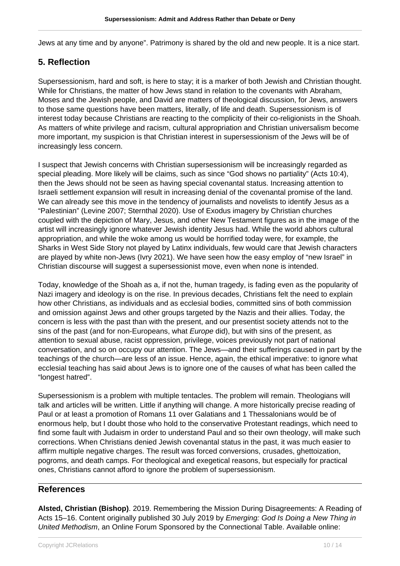Jews at any time and by anyone". Patrimony is shared by the old and new people. It is a nice start.

# **5. Reflection**

Supersessionism, hard and soft, is here to stay; it is a marker of both Jewish and Christian thought. While for Christians, the matter of how Jews stand in relation to the covenants with Abraham, Moses and the Jewish people, and David are matters of theological discussion, for Jews, answers to those same questions have been matters, literally, of life and death. Supersessionism is of interest today because Christians are reacting to the complicity of their co-religionists in the Shoah. As matters of white privilege and racism, cultural appropriation and Christian universalism become more important, my suspicion is that Christian interest in supersessionism of the Jews will be of increasingly less concern.

I suspect that Jewish concerns with Christian supersessionism will be increasingly regarded as special pleading. More likely will be claims, such as since "God shows no partiality" (Acts 10:4), then the Jews should not be seen as having special covenantal status. Increasing attention to Israeli settlement expansion will result in increasing denial of the covenantal promise of the land. We can already see this move in the tendency of journalists and novelists to identify Jesus as a "Palestinian" (Levine 2007; Sternthal 2020). Use of Exodus imagery by Christian churches coupled with the depiction of Mary, Jesus, and other New Testament figures as in the image of the artist will increasingly ignore whatever Jewish identity Jesus had. While the world abhors cultural appropriation, and while the woke among us would be horrified today were, for example, the Sharks in West Side Story not played by Latinx individuals, few would care that Jewish characters are played by white non-Jews (Ivry 2021). We have seen how the easy employ of "new Israel" in Christian discourse will suggest a supersessionist move, even when none is intended.

Today, knowledge of the Shoah as a, if not the, human tragedy, is fading even as the popularity of Nazi imagery and ideology is on the rise. In previous decades, Christians felt the need to explain how other Christians, as individuals and as ecclesial bodies, committed sins of both commission and omission against Jews and other groups targeted by the Nazis and their allies. Today, the concern is less with the past than with the present, and our presentist society attends not to the sins of the past (and for non-Europeans, what *Europe* did), but with sins of the present, as attention to sexual abuse, racist oppression, privilege, voices previously not part of national conversation, and so on occupy our attention. The Jews—and their sufferings caused in part by the teachings of the church—are less of an issue. Hence, again, the ethical imperative: to ignore what ecclesial teaching has said about Jews is to ignore one of the causes of what has been called the "longest hatred".

Supersessionism is a problem with multiple tentacles. The problem will remain. Theologians will talk and articles will be written. Little if anything will change. A more historically precise reading of Paul or at least a promotion of Romans 11 over Galatians and 1 Thessalonians would be of enormous help, but I doubt those who hold to the conservative Protestant readings, which need to find some fault with Judaism in order to understand Paul and so their own theology, will make such corrections. When Christians denied Jewish covenantal status in the past, it was much easier to affirm multiple negative charges. The result was forced conversions, crusades, ghettoization, pogroms, and death camps. For theological and exegetical reasons, but especially for practical ones, Christians cannot afford to ignore the problem of supersessionism.

## **References**

**Alsted, Christian (Bishop)**. 2019. Remembering the Mission During Disagreements: A Reading of Acts 15-16. Content originally published 30 July 2019 by Emerging: God Is Doing a New Thing in United Methodism, an Online Forum Sponsored by the Connectional Table. Available online: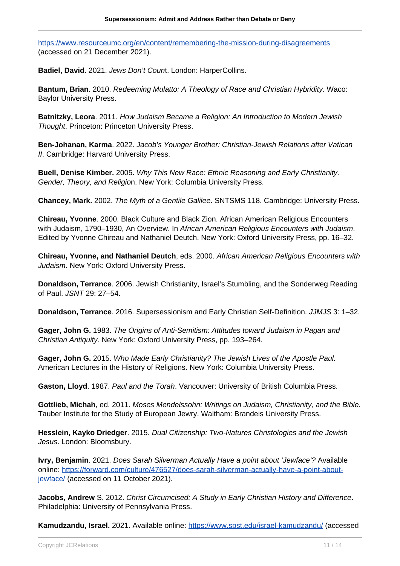<https://www.resourceumc.org/en/content/remembering-the-mission-during-disagreements> (accessed on 21 December 2021).

**Badiel, David**. 2021. Jews Don't Count. London: HarperCollins.

**Bantum, Brian**. 2010. Redeeming Mulatto: A Theology of Race and Christian Hybridity. Waco: Baylor University Press.

**Batnitzky, Leora**. 2011. How Judaism Became a Religion: An Introduction to Modern Jewish Thought. Princeton: Princeton University Press.

**Ben-Johanan, Karma**. 2022. Jacob's Younger Brother: Christian-Jewish Relations after Vatican II. Cambridge: Harvard University Press.

**Buell, Denise Kimber.** 2005. Why This New Race: Ethnic Reasoning and Early Christianity. Gender, Theory, and Religion. New York: Columbia University Press.

**Chancey, Mark.** 2002. The Myth of a Gentile Galilee. SNTSMS 118. Cambridge: University Press.

**Chireau, Yvonne**. 2000. Black Culture and Black Zion. African American Religious Encounters with Judaism, 1790–1930, An Overview. In African American Religious Encounters with Judaism. Edited by Yvonne Chireau and Nathaniel Deutch. New York: Oxford University Press, pp. 16–32.

**Chireau, Yvonne, and Nathaniel Deutch**, eds. 2000. African American Religious Encounters with Judaism. New York: Oxford University Press.

**Donaldson, Terrance**. 2006. Jewish Christianity, Israel's Stumbling, and the Sonderweg Reading of Paul. JSNT 29: 27–54.

**Donaldson, Terrance**. 2016. Supersessionism and Early Christian Self-Definition. JJMJS 3: 1–32.

**Gager, John G.** 1983. The Origins of Anti-Semitism: Attitudes toward Judaism in Pagan and Christian Antiquity. New York: Oxford University Press, pp. 193–264.

**Gager, John G.** 2015. Who Made Early Christianity? The Jewish Lives of the Apostle Paul. American Lectures in the History of Religions. New York: Columbia University Press.

**Gaston, Lloyd**. 1987. Paul and the Torah. Vancouver: University of British Columbia Press.

**Gottlieb, Michah**, ed. 2011. Moses Mendelssohn: Writings on Judaism, Christianity, and the Bible. Tauber Institute for the Study of European Jewry. Waltham: Brandeis University Press.

**Hesslein, Kayko Driedger**. 2015. Dual Citizenship: Two-Natures Christologies and the Jewish Jesus. London: Bloomsbury.

**Ivry, Benjamin**. 2021. Does Sarah Silverman Actually Have a point about 'Jewface'? Available online: [https://forward.com/culture/476527/does-sarah-silverman-actually-have-a-point-about](https://forward.com/culture/476527/does-sarah-silverman-actually-have-a-point-about-jewface/)[jewface/](https://forward.com/culture/476527/does-sarah-silverman-actually-have-a-point-about-jewface/) (accessed on 11 October 2021).

**Jacobs, Andrew** S. 2012. Christ Circumcised: A Study in Early Christian History and Difference. Philadelphia: University of Pennsylvania Press.

**Kamudzandu, Israel.** 2021. Available online:<https://www.spst.edu/israel-kamudzandu/>(accessed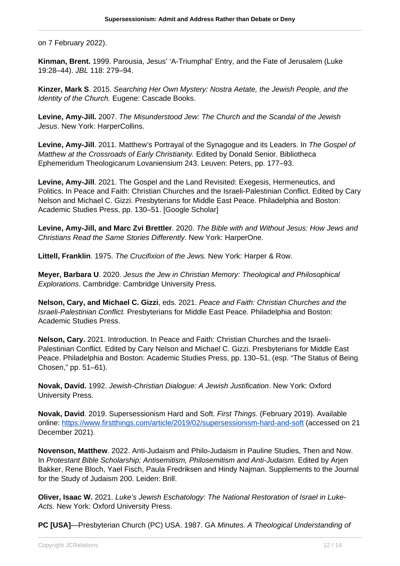on 7 February 2022).

**Kinman, Brent.** 1999. Parousia, Jesus' 'A-Triumphal' Entry, and the Fate of Jerusalem (Luke 19:28–44). JBL 118: 279–94.

**Kinzer, Mark S**. 2015. Searching Her Own Mystery: Nostra Aetate, the Jewish People, and the Identity of the Church. Eugene: Cascade Books.

**Levine, Amy-Jill.** 2007. The Misunderstood Jew: The Church and the Scandal of the Jewish Jesus. New York: HarperCollins.

**Levine, Amy-Jill**. 2011. Matthew's Portrayal of the Synagogue and its Leaders. In The Gospel of Matthew at the Crossroads of Early Christianity. Edited by Donald Senior. Bibliotheca Ephemeridum Theologicarum Lovaniensium 243. Leuven: Peters, pp. 177–93.

**Levine, Amy-Jill**. 2021. The Gospel and the Land Revisited: Exegesis, Hermeneutics, and Politics. In Peace and Faith: Christian Churches and the Israeli-Palestinian Conflict. Edited by Cary Nelson and Michael C. Gizzi. Presbyterians for Middle East Peace. Philadelphia and Boston: Academic Studies Press, pp. 130–51. [Google Scholar]

**Levine, Amy-Jill, and Marc Zvi Brettler**. 2020. The Bible with and Without Jesus: How Jews and Christians Read the Same Stories Differently. New York: HarperOne.

**Littell, Franklin**. 1975. The Crucifixion of the Jews. New York: Harper & Row.

**Meyer, Barbara U**. 2020. Jesus the Jew in Christian Memory: Theological and Philosophical Explorations. Cambridge: Cambridge University Press.

**Nelson, Cary, and Michael C. Gizzi**, eds. 2021. Peace and Faith: Christian Churches and the Israeli-Palestinian Conflict. Presbyterians for Middle East Peace. Philadelphia and Boston: Academic Studies Press.

**Nelson, Cary.** 2021. Introduction. In Peace and Faith: Christian Churches and the Israeli-Palestinian Conflict. Edited by Cary Nelson and Michael C. Gizzi. Presbyterians for Middle East Peace. Philadelphia and Boston: Academic Studies Press, pp. 130–51, (esp. "The Status of Being Chosen," pp. 51–61).

**Novak, David.** 1992. Jewish-Christian Dialogue: A Jewish Justification. New York: Oxford University Press.

**Novak, David**. 2019. Supersessionism Hard and Soft. First Things. (February 2019). Available online:<https://www.firstthings.com/article/2019/02/supersessionism-hard-and-soft> (accessed on 21 December 2021).

**Novenson, Matthew**. 2022. Anti-Judaism and Philo-Judaism in Pauline Studies, Then and Now. In Protestant Bible Scholarship; Antisemitism, Philosemitism and Anti-Judaism. Edited by Arjen Bakker, Rene Bloch, Yael Fisch, Paula Fredriksen and Hindy Najman. Supplements to the Journal for the Study of Judaism 200. Leiden: Brill.

**Oliver, Isaac W.** 2021. Luke's Jewish Eschatology: The National Restoration of Israel in Luke-Acts. New York: Oxford University Press.

**PC [USA]**—Presbyterian Church (PC) USA. 1987. GA Minutes. A Theological Understanding of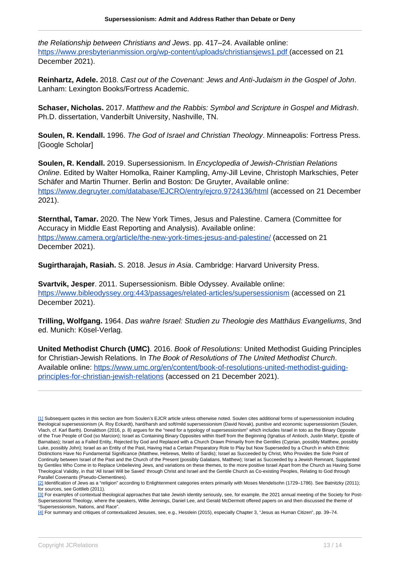the Relationship between Christians and Jews. pp. 417–24. Available online: [https://www.presbyterianmission.org/wp-content/uploads/christiansjews1.pdf \(](https://www.presbyterianmission.org/wp-content/uploads/christiansjews1.pdf)accessed on 21 December 2021).

**Reinhartz, Adele.** 2018. Cast out of the Covenant: Jews and Anti-Judaism in the Gospel of John. Lanham: Lexington Books/Fortress Academic.

**Schaser, Nicholas.** 2017. Matthew and the Rabbis: Symbol and Scripture in Gospel and Midrash. Ph.D. dissertation, Vanderbilt University, Nashville, TN.

**Soulen, R. Kendall.** 1996. The God of Israel and Christian Theology. Minneapolis: Fortress Press. [Google Scholar]

**Soulen, R. Kendall.** 2019. Supersessionism. In Encyclopedia of Jewish-Christian Relations Online. Edited by Walter Homolka, Rainer Kampling, Amy-Jill Levine, Christoph Markschies, Peter Schäfer and Martin Thurner. Berlin and Boston: De Gruyter, Available online: <https://www.degruyter.com/database/EJCRO/entry/ejcro.9724136/html>(accessed on 21 December 2021).

**Sternthal, Tamar.** 2020. The New York Times, Jesus and Palestine. Camera (Committee for Accuracy in Middle East Reporting and Analysis). Available online: [https://www.camera.org/article/the-new-york-times-jesus-and-palestine/](http://http://) (accessed on 21 December 2021).

**Sugirtharajah, Rasiah.** S. 2018. Jesus in Asia. Cambridge: Harvard University Press.

**Svartvik, Jesper**. 2011. Supersessionism. Bible Odyssey. Available online: <https://www.bibleodyssey.org:443/passages/related-articles/supersessionism>(accessed on 21 December 2021).

**Trilling, Wolfgang.** 1964. Das wahre Israel: Studien zu Theologie des Matthäus Evangeliums, 3nd ed. Munich: Kösel-Verlag.

**United Methodist Church (UMC)**. 2016. Book of Resolutions: United Methodist Guiding Principles for Christian-Jewish Relations. In The Book of Resolutions of The United Methodist Church. Available online: [https://www.umc.org/en/content/book-of-resolutions-united-methodist-guiding](https://www.umc.org/en/content/book-of-resolutions-united-methodist-guiding-principles-for-christian-jewish-relations)[principles-for-christian-jewish-relations](https://www.umc.org/en/content/book-of-resolutions-united-methodist-guiding-principles-for-christian-jewish-relations) (accessed on 21 December 2021).

<sup>[1]</sup> Subsequent quotes in this section are from Soulen's EJCR article unless otherwise noted. Soulen cites additional forms of supersessionism including theological supersessionism (A. Roy Eckardt), hard/harsh and soft/mild supersessionism (David Novak), punitive and economic supersessionism (Soulen, Vlach, cf. Karl Barth). Donaldson (2016, p. 8) argues for the "need for a typology of supersessionism" which includes Israel in toto as the Binary Opposite of the True People of God (so Marcion); Israel as Containing Binary Opposites within Itself from the Beginning (Ignatius of Antioch, Justin Martyr, Epistle of Barnabas); Israel as a Failed Entity, Rejected by God and Replaced with a Church Drawn Primarily from the Gentiles (Cyprian, possibly Matthew, possibly Luke, possibly John); Israel as an Entity of the Past, Having Had a Certain Preparatory Role to Play but Now Superseded by a Church in which Ethnic Distinctions Have No Fundamental Significance (Matthew, Hebrews, Melito of Sardis); Israel as Succeeded by Christ, Who Provides the Sole Point of Continuity between Israel of the Past and the Church of the Present (possibly Galatians, Matthew); Israel as Succeeded by a Jewish Remnant, Supplanted by Gentiles Who Come in to Replace Unbelieving Jews, and variations on these themes, to the more positive Israel Apart from the Church as Having Some Theological Validity, in that 'All Israel Will be Saved' through Christ and Israel and the Gentile Church as Co-existing Peoples, Relating to God through Parallel Covenants (Pseudo-Clementines).

<sup>[2]</sup> Identification of Jews as a "religion" according to Enlightenment categories enters primarily with Moses Mendelsohn (1729–1786). See Batnitzky (2011); for sources, see Gottlieb (2011).

<sup>[3]</sup> For examples of contextual theological approaches that take Jewish identity seriously, see, for example, the 2021 annual meeting of the Society for Post-Supersessionist Theology, where the speakers, Willie Jennings, Daniel Lee, and Gerald McDermott offered papers on and then discussed the theme of "Supersessionism, Nations, and Race".

<sup>[4]</sup> For summary and critiques of contextualized Jesuses, see, e.g., Hesslein (2015), especially Chapter 3, "Jesus as Human Citizen", pp. 39–74.